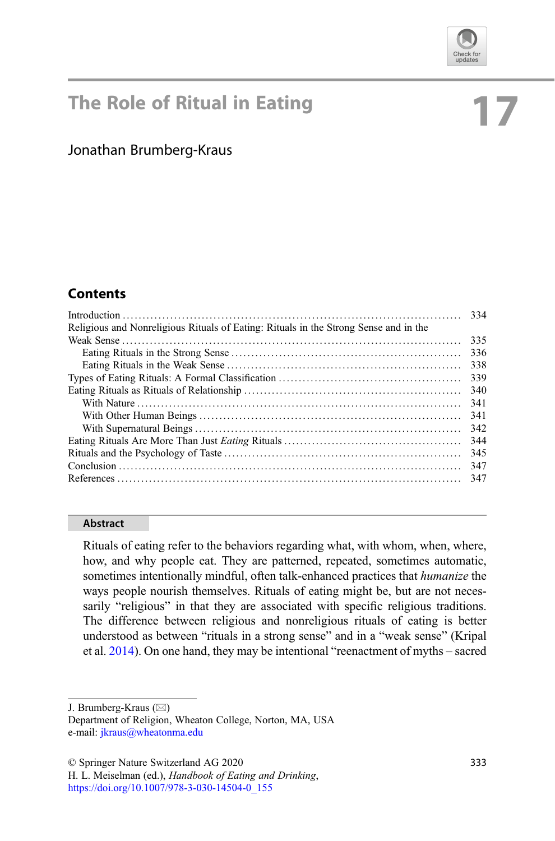

# The Role of Ritual in Eating 17

# Jonathan Brumberg-Kraus

## **Contents**

|                                                                                      | 334 |
|--------------------------------------------------------------------------------------|-----|
| Religious and Nonreligious Rituals of Eating: Rituals in the Strong Sense and in the |     |
|                                                                                      | 335 |
|                                                                                      | 336 |
|                                                                                      | 338 |
|                                                                                      | 339 |
|                                                                                      | 340 |
|                                                                                      | 341 |
|                                                                                      | 341 |
|                                                                                      | 342 |
|                                                                                      | 344 |
|                                                                                      | 345 |
|                                                                                      | 347 |
|                                                                                      | 347 |

#### Abstract

Rituals of eating refer to the behaviors regarding what, with whom, when, where, how, and why people eat. They are patterned, repeated, sometimes automatic, sometimes intentionally mindful, often talk-enhanced practices that humanize the ways people nourish themselves. Rituals of eating might be, but are not necessarily "religious" in that they are associated with specific religious traditions. The difference between religious and nonreligious rituals of eating is better understood as between "rituals in a strong sense" and in a "weak sense" (Kripal et al. [2014](#page-15-0)). On one hand, they may be intentional "reenactment of myths – sacred

J. Brumberg-Kraus  $(\boxtimes)$ 

Department of Religion, Wheaton College, Norton, MA, USA e-mail: [jkraus@wheatonma.edu](mailto:jkraus@wheatonma.edu)

<sup>©</sup> Springer Nature Switzerland AG 2020

H. L. Meiselman (ed.), Handbook of Eating and Drinking, [https://doi.org/10.1007/978-3-030-14504-0\\_155](https://doi.org/10.1007/978-3-030-14504-0_155)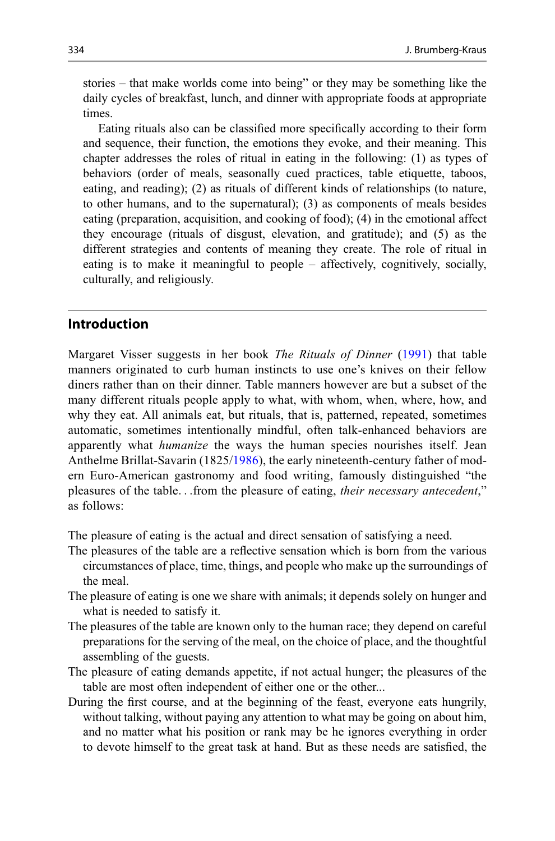stories – that make worlds come into being" or they may be something like the daily cycles of breakfast, lunch, and dinner with appropriate foods at appropriate times.

Eating rituals also can be classified more specifically according to their form and sequence, their function, the emotions they evoke, and their meaning. This chapter addresses the roles of ritual in eating in the following: (1) as types of behaviors (order of meals, seasonally cued practices, table etiquette, taboos, eating, and reading); (2) as rituals of different kinds of relationships (to nature, to other humans, and to the supernatural); (3) as components of meals besides eating (preparation, acquisition, and cooking of food); (4) in the emotional affect they encourage (rituals of disgust, elevation, and gratitude); and (5) as the different strategies and contents of meaning they create. The role of ritual in eating is to make it meaningful to people – affectively, cognitively, socially, culturally, and religiously.

### Introduction

Margaret Visser suggests in her book *The Rituals of Dinner* [\(1991\)](#page-15-1) that table manners originated to curb human instincts to use one's knives on their fellow diners rather than on their dinner. Table manners however are but a subset of the many different rituals people apply to what, with whom, when, where, how, and why they eat. All animals eat, but rituals, that is, patterned, repeated, sometimes automatic, sometimes intentionally mindful, often talk-enhanced behaviors are apparently what *humanize* the ways the human species nourishes itself. Jean Anthelme Brillat-Savarin (1825[/1986\)](#page-14-0), the early nineteenth-century father of modern Euro-American gastronomy and food writing, famously distinguished "the pleasures of the table...from the pleasure of eating, their necessary antecedent," as follows:

The pleasure of eating is the actual and direct sensation of satisfying a need.

- The pleasures of the table are a reflective sensation which is born from the various circumstances of place, time, things, and people who make up the surroundings of the meal.
- The pleasure of eating is one we share with animals; it depends solely on hunger and what is needed to satisfy it.
- The pleasures of the table are known only to the human race; they depend on careful preparations for the serving of the meal, on the choice of place, and the thoughtful assembling of the guests.
- The pleasure of eating demands appetite, if not actual hunger; the pleasures of the table are most often independent of either one or the other...
- During the first course, and at the beginning of the feast, everyone eats hungrily, without talking, without paying any attention to what may be going on about him, and no matter what his position or rank may be he ignores everything in order to devote himself to the great task at hand. But as these needs are satisfied, the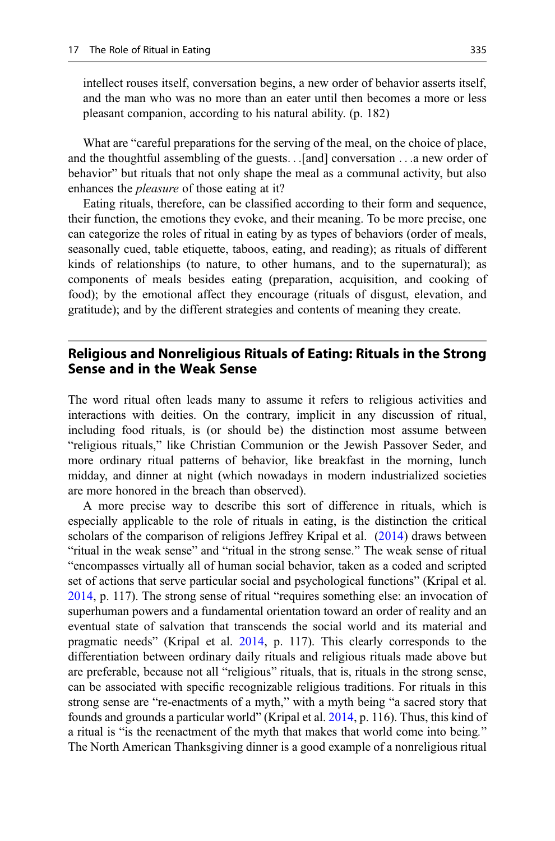intellect rouses itself, conversation begins, a new order of behavior asserts itself, and the man who was no more than an eater until then becomes a more or less pleasant companion, according to his natural ability. (p. 182)

What are "careful preparations for the serving of the meal, on the choice of place, and the thoughtful assembling of the guests...[and] conversation ...a new order of behavior" but rituals that not only shape the meal as a communal activity, but also enhances the *pleasure* of those eating at it?

Eating rituals, therefore, can be classified according to their form and sequence, their function, the emotions they evoke, and their meaning. To be more precise, one can categorize the roles of ritual in eating by as types of behaviors (order of meals, seasonally cued, table etiquette, taboos, eating, and reading); as rituals of different kinds of relationships (to nature, to other humans, and to the supernatural); as components of meals besides eating (preparation, acquisition, and cooking of food); by the emotional affect they encourage (rituals of disgust, elevation, and gratitude); and by the different strategies and contents of meaning they create.

### Religious and Nonreligious Rituals of Eating: Rituals in the Strong Sense and in the Weak Sense

The word ritual often leads many to assume it refers to religious activities and interactions with deities. On the contrary, implicit in any discussion of ritual, including food rituals, is (or should be) the distinction most assume between "religious rituals," like Christian Communion or the Jewish Passover Seder, and more ordinary ritual patterns of behavior, like breakfast in the morning, lunch midday, and dinner at night (which nowadays in modern industrialized societies are more honored in the breach than observed).

A more precise way to describe this sort of difference in rituals, which is especially applicable to the role of rituals in eating, is the distinction the critical scholars of the comparison of religions Jeffrey Kripal et al. ([2014\)](#page-15-0) draws between "ritual in the weak sense" and "ritual in the strong sense." The weak sense of ritual "encompasses virtually all of human social behavior, taken as a coded and scripted set of actions that serve particular social and psychological functions" (Kripal et al. [2014,](#page-15-0) p. 117). The strong sense of ritual "requires something else: an invocation of superhuman powers and a fundamental orientation toward an order of reality and an eventual state of salvation that transcends the social world and its material and pragmatic needs" (Kripal et al. [2014](#page-15-0), p. 117). This clearly corresponds to the differentiation between ordinary daily rituals and religious rituals made above but are preferable, because not all "religious" rituals, that is, rituals in the strong sense, can be associated with specific recognizable religious traditions. For rituals in this strong sense are "re-enactments of a myth," with a myth being "a sacred story that founds and grounds a particular world" (Kripal et al. [2014](#page-15-0), p. 116). Thus, this kind of a ritual is "is the reenactment of the myth that makes that world come into being." The North American Thanksgiving dinner is a good example of a nonreligious ritual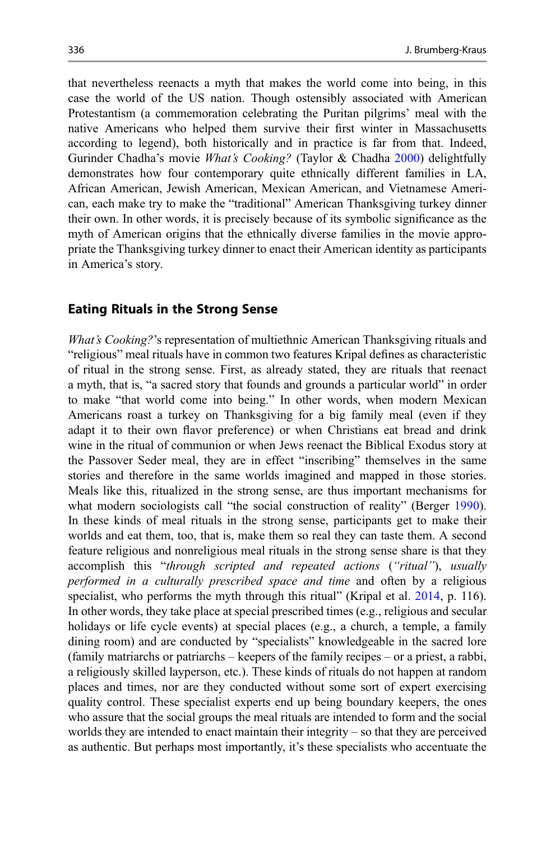that nevertheless reenacts a myth that makes the world come into being, in this case the world of the US nation. Though ostensibly associated with American Protestantism (a commemoration celebrating the Puritan pilgrims' meal with the native Americans who helped them survive their first winter in Massachusetts according to legend), both historically and in practice is far from that. Indeed, Gurinder Chadha's movie What's Cooking? (Taylor & Chadha [2000\)](#page-15-2) delightfully demonstrates how four contemporary quite ethnically different families in LA, African American, Jewish American, Mexican American, and Vietnamese American, each make try to make the "traditional" American Thanksgiving turkey dinner their own. In other words, it is precisely because of its symbolic significance as the myth of American origins that the ethnically diverse families in the movie appropriate the Thanksgiving turkey dinner to enact their American identity as participants in America's story.

#### Eating Rituals in the Strong Sense

What's Cooking?'s representation of multiethnic American Thanksgiving rituals and "religious" meal rituals have in common two features Kripal defines as characteristic of ritual in the strong sense. First, as already stated, they are rituals that reenact a myth, that is, "a sacred story that founds and grounds a particular world" in order to make "that world come into being." In other words, when modern Mexican Americans roast a turkey on Thanksgiving for a big family meal (even if they adapt it to their own flavor preference) or when Christians eat bread and drink wine in the ritual of communion or when Jews reenact the Biblical Exodus story at the Passover Seder meal, they are in effect "inscribing" themselves in the same stories and therefore in the same worlds imagined and mapped in those stories. Meals like this, ritualized in the strong sense, are thus important mechanisms for what modern sociologists call "the social construction of reality" (Berger [1990\)](#page-14-1). In these kinds of meal rituals in the strong sense, participants get to make their worlds and eat them, too, that is, make them so real they can taste them. A second feature religious and nonreligious meal rituals in the strong sense share is that they accomplish this "through scripted and repeated actions ("ritual"), usually performed in a culturally prescribed space and time and often by a religious specialist, who performs the myth through this ritual" (Kripal et al. [2014,](#page-15-0) p. 116). In other words, they take place at special prescribed times (e.g., religious and secular holidays or life cycle events) at special places (e.g., a church, a temple, a family dining room) and are conducted by "specialists" knowledgeable in the sacred lore (family matriarchs or patriarchs – keepers of the family recipes – or a priest, a rabbi, a religiously skilled layperson, etc.). These kinds of rituals do not happen at random places and times, nor are they conducted without some sort of expert exercising quality control. These specialist experts end up being boundary keepers, the ones who assure that the social groups the meal rituals are intended to form and the social worlds they are intended to enact maintain their integrity – so that they are perceived as authentic. But perhaps most importantly, it's these specialists who accentuate the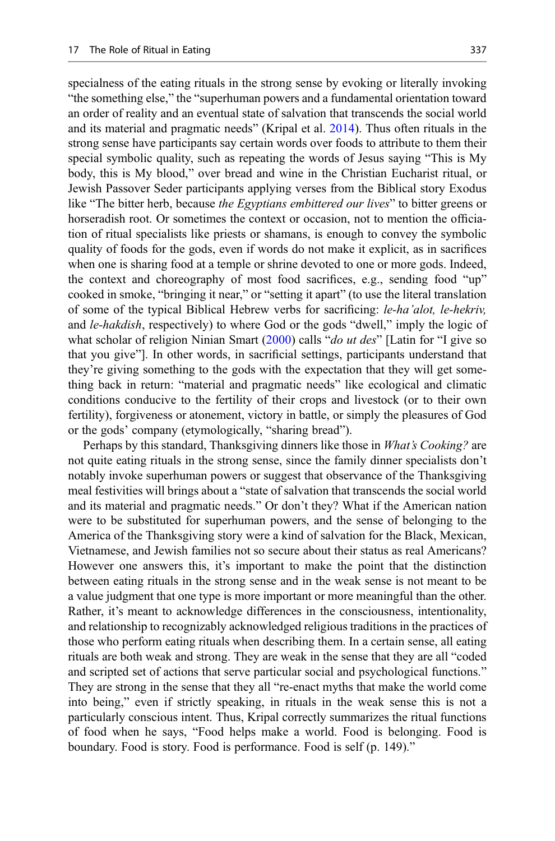specialness of the eating rituals in the strong sense by evoking or literally invoking "the something else," the "superhuman powers and a fundamental orientation toward an order of reality and an eventual state of salvation that transcends the social world and its material and pragmatic needs" (Kripal et al. [2014](#page-15-0)). Thus often rituals in the strong sense have participants say certain words over foods to attribute to them their special symbolic quality, such as repeating the words of Jesus saying "This is My body, this is My blood," over bread and wine in the Christian Eucharist ritual, or Jewish Passover Seder participants applying verses from the Biblical story Exodus like "The bitter herb, because the Egyptians embittered our lives" to bitter greens or horseradish root. Or sometimes the context or occasion, not to mention the officiation of ritual specialists like priests or shamans, is enough to convey the symbolic quality of foods for the gods, even if words do not make it explicit, as in sacrifices when one is sharing food at a temple or shrine devoted to one or more gods. Indeed, the context and choreography of most food sacrifices, e.g., sending food "up" cooked in smoke, "bringing it near," or "setting it apart" (to use the literal translation of some of the typical Biblical Hebrew verbs for sacrificing: le-ha'alot, le-hekriv, and *le-hakdish*, respectively) to where God or the gods "dwell," imply the logic of what scholar of religion Ninian Smart ([2000\)](#page-15-3) calls "*do ut des*" [Latin for "I give so that you give"]. In other words, in sacrificial settings, participants understand that they're giving something to the gods with the expectation that they will get something back in return: "material and pragmatic needs" like ecological and climatic conditions conducive to the fertility of their crops and livestock (or to their own fertility), forgiveness or atonement, victory in battle, or simply the pleasures of God or the gods' company (etymologically, "sharing bread").

Perhaps by this standard, Thanksgiving dinners like those in *What's Cooking?* are not quite eating rituals in the strong sense, since the family dinner specialists don't notably invoke superhuman powers or suggest that observance of the Thanksgiving meal festivities will brings about a "state of salvation that transcends the social world and its material and pragmatic needs." Or don't they? What if the American nation were to be substituted for superhuman powers, and the sense of belonging to the America of the Thanksgiving story were a kind of salvation for the Black, Mexican, Vietnamese, and Jewish families not so secure about their status as real Americans? However one answers this, it's important to make the point that the distinction between eating rituals in the strong sense and in the weak sense is not meant to be a value judgment that one type is more important or more meaningful than the other. Rather, it's meant to acknowledge differences in the consciousness, intentionality, and relationship to recognizably acknowledged religious traditions in the practices of those who perform eating rituals when describing them. In a certain sense, all eating rituals are both weak and strong. They are weak in the sense that they are all "coded and scripted set of actions that serve particular social and psychological functions." They are strong in the sense that they all "re-enact myths that make the world come into being," even if strictly speaking, in rituals in the weak sense this is not a particularly conscious intent. Thus, Kripal correctly summarizes the ritual functions of food when he says, "Food helps make a world. Food is belonging. Food is boundary. Food is story. Food is performance. Food is self (p. 149)."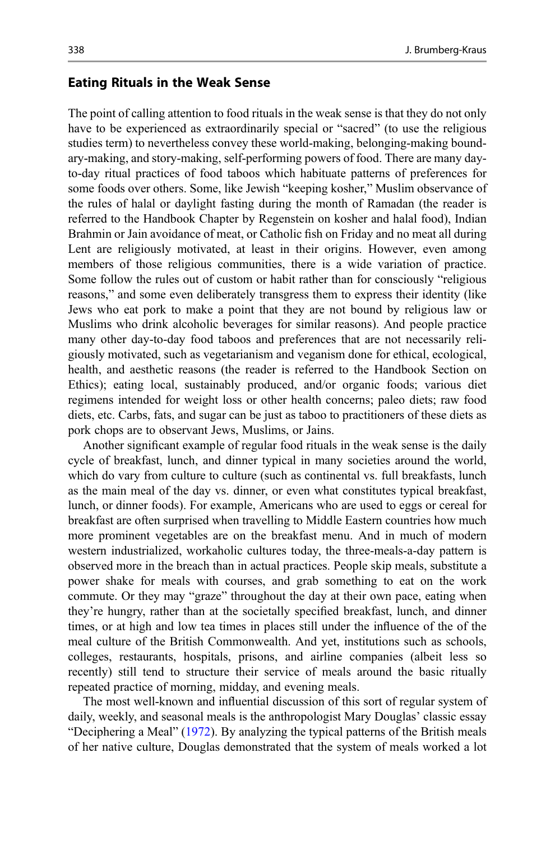#### Eating Rituals in the Weak Sense

The point of calling attention to food rituals in the weak sense is that they do not only have to be experienced as extraordinarily special or "sacred" (to use the religious studies term) to nevertheless convey these world-making, belonging-making boundary-making, and story-making, self-performing powers of food. There are many dayto-day ritual practices of food taboos which habituate patterns of preferences for some foods over others. Some, like Jewish "keeping kosher," Muslim observance of the rules of halal or daylight fasting during the month of Ramadan (the reader is referred to the Handbook Chapter by Regenstein on kosher and halal food), Indian Brahmin or Jain avoidance of meat, or Catholic fish on Friday and no meat all during Lent are religiously motivated, at least in their origins. However, even among members of those religious communities, there is a wide variation of practice. Some follow the rules out of custom or habit rather than for consciously "religious reasons," and some even deliberately transgress them to express their identity (like Jews who eat pork to make a point that they are not bound by religious law or Muslims who drink alcoholic beverages for similar reasons). And people practice many other day-to-day food taboos and preferences that are not necessarily religiously motivated, such as vegetarianism and veganism done for ethical, ecological, health, and aesthetic reasons (the reader is referred to the Handbook Section on Ethics); eating local, sustainably produced, and/or organic foods; various diet regimens intended for weight loss or other health concerns; paleo diets; raw food diets, etc. Carbs, fats, and sugar can be just as taboo to practitioners of these diets as pork chops are to observant Jews, Muslims, or Jains.

Another significant example of regular food rituals in the weak sense is the daily cycle of breakfast, lunch, and dinner typical in many societies around the world, which do vary from culture to culture (such as continental vs. full breakfasts, lunch as the main meal of the day vs. dinner, or even what constitutes typical breakfast, lunch, or dinner foods). For example, Americans who are used to eggs or cereal for breakfast are often surprised when travelling to Middle Eastern countries how much more prominent vegetables are on the breakfast menu. And in much of modern western industrialized, workaholic cultures today, the three-meals-a-day pattern is observed more in the breach than in actual practices. People skip meals, substitute a power shake for meals with courses, and grab something to eat on the work commute. Or they may "graze" throughout the day at their own pace, eating when they're hungry, rather than at the societally specified breakfast, lunch, and dinner times, or at high and low tea times in places still under the influence of the of the meal culture of the British Commonwealth. And yet, institutions such as schools, colleges, restaurants, hospitals, prisons, and airline companies (albeit less so recently) still tend to structure their service of meals around the basic ritually repeated practice of morning, midday, and evening meals.

The most well-known and influential discussion of this sort of regular system of daily, weekly, and seasonal meals is the anthropologist Mary Douglas' classic essay "Deciphering a Meal" ([1972\)](#page-14-2). By analyzing the typical patterns of the British meals of her native culture, Douglas demonstrated that the system of meals worked a lot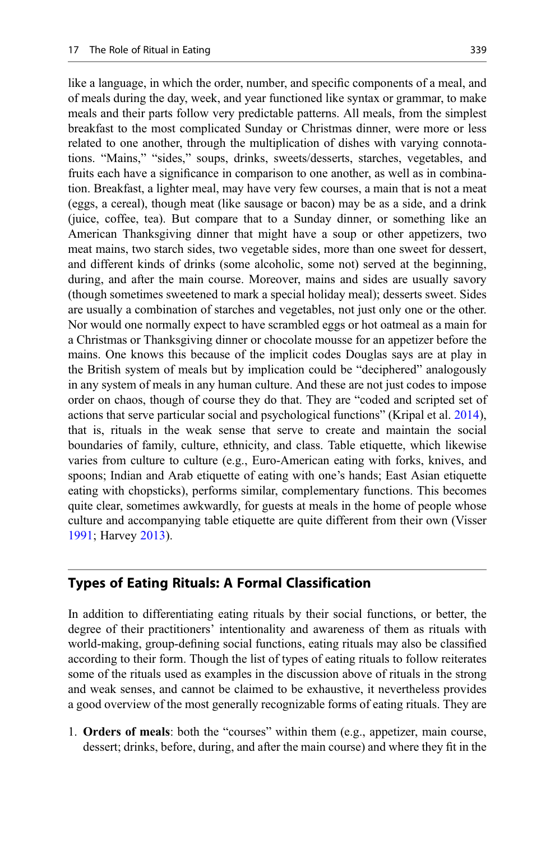like a language, in which the order, number, and specific components of a meal, and of meals during the day, week, and year functioned like syntax or grammar, to make meals and their parts follow very predictable patterns. All meals, from the simplest breakfast to the most complicated Sunday or Christmas dinner, were more or less related to one another, through the multiplication of dishes with varying connotations. "Mains," "sides," soups, drinks, sweets/desserts, starches, vegetables, and fruits each have a significance in comparison to one another, as well as in combination. Breakfast, a lighter meal, may have very few courses, a main that is not a meat (eggs, a cereal), though meat (like sausage or bacon) may be as a side, and a drink (juice, coffee, tea). But compare that to a Sunday dinner, or something like an American Thanksgiving dinner that might have a soup or other appetizers, two meat mains, two starch sides, two vegetable sides, more than one sweet for dessert, and different kinds of drinks (some alcoholic, some not) served at the beginning, during, and after the main course. Moreover, mains and sides are usually savory (though sometimes sweetened to mark a special holiday meal); desserts sweet. Sides are usually a combination of starches and vegetables, not just only one or the other. Nor would one normally expect to have scrambled eggs or hot oatmeal as a main for a Christmas or Thanksgiving dinner or chocolate mousse for an appetizer before the mains. One knows this because of the implicit codes Douglas says are at play in the British system of meals but by implication could be "deciphered" analogously in any system of meals in any human culture. And these are not just codes to impose order on chaos, though of course they do that. They are "coded and scripted set of actions that serve particular social and psychological functions" (Kripal et al. [2014\)](#page-15-0), that is, rituals in the weak sense that serve to create and maintain the social boundaries of family, culture, ethnicity, and class. Table etiquette, which likewise varies from culture to culture (e.g., Euro-American eating with forks, knives, and spoons; Indian and Arab etiquette of eating with one's hands; East Asian etiquette eating with chopsticks), performs similar, complementary functions. This becomes quite clear, sometimes awkwardly, for guests at meals in the home of people whose culture and accompanying table etiquette are quite different from their own (Visser [1991;](#page-15-1) Harvey [2013](#page-15-4)).

#### Types of Eating Rituals: A Formal Classification

In addition to differentiating eating rituals by their social functions, or better, the degree of their practitioners' intentionality and awareness of them as rituals with world-making, group-defining social functions, eating rituals may also be classified according to their form. Though the list of types of eating rituals to follow reiterates some of the rituals used as examples in the discussion above of rituals in the strong and weak senses, and cannot be claimed to be exhaustive, it nevertheless provides a good overview of the most generally recognizable forms of eating rituals. They are

1. Orders of meals: both the "courses" within them (e.g., appetizer, main course, dessert; drinks, before, during, and after the main course) and where they fit in the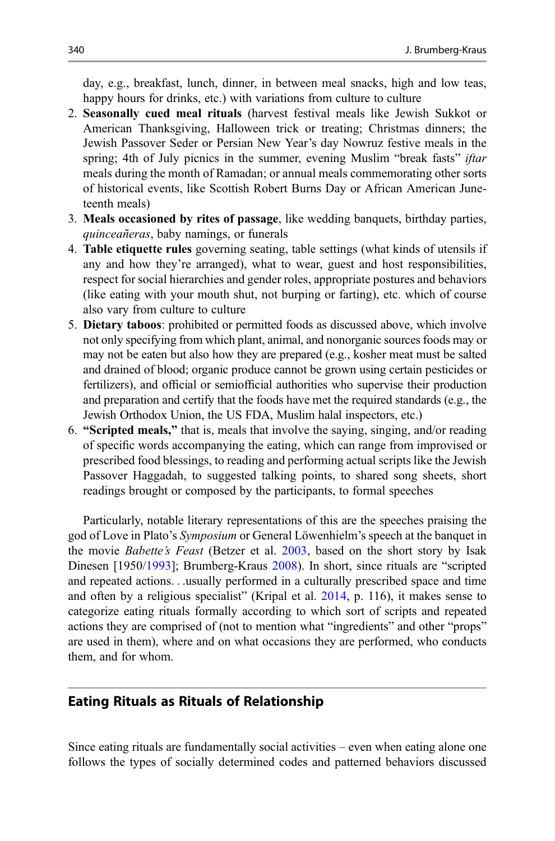day, e.g., breakfast, lunch, dinner, in between meal snacks, high and low teas, happy hours for drinks, etc.) with variations from culture to culture

- 2. Seasonally cued meal rituals (harvest festival meals like Jewish Sukkot or American Thanksgiving, Halloween trick or treating; Christmas dinners; the Jewish Passover Seder or Persian New Year's day Nowruz festive meals in the spring; 4th of July picnics in the summer, evening Muslim "break fasts" *iftar* meals during the month of Ramadan; or annual meals commemorating other sorts of historical events, like Scottish Robert Burns Day or African American Juneteenth meals)
- 3. Meals occasioned by rites of passage, like wedding banquets, birthday parties, quinceañeras, baby namings, or funerals
- 4. Table etiquette rules governing seating, table settings (what kinds of utensils if any and how they're arranged), what to wear, guest and host responsibilities, respect for social hierarchies and gender roles, appropriate postures and behaviors (like eating with your mouth shut, not burping or farting), etc. which of course also vary from culture to culture
- 5. Dietary taboos: prohibited or permitted foods as discussed above, which involve not only specifying from which plant, animal, and nonorganic sources foods may or may not be eaten but also how they are prepared (e.g., kosher meat must be salted and drained of blood; organic produce cannot be grown using certain pesticides or fertilizers), and official or semiofficial authorities who supervise their production and preparation and certify that the foods have met the required standards (e.g., the Jewish Orthodox Union, the US FDA, Muslim halal inspectors, etc.)
- 6. "Scripted meals," that is, meals that involve the saying, singing, and/or reading of specific words accompanying the eating, which can range from improvised or prescribed food blessings, to reading and performing actual scripts like the Jewish Passover Haggadah, to suggested talking points, to shared song sheets, short readings brought or composed by the participants, to formal speeches

Particularly, notable literary representations of this are the speeches praising the god of Love in Plato's Symposium or General Löwenhielm's speech at the banquet in the movie *Babette's Feast* (Betzer et al. [2003](#page-14-3), based on the short story by Isak Dinesen [1950/[1993\]](#page-14-4); Brumberg-Kraus [2008\)](#page-14-5). In short, since rituals are "scripted and repeated actions...usually performed in a culturally prescribed space and time and often by a religious specialist" (Kripal et al. [2014,](#page-15-0) p. 116), it makes sense to categorize eating rituals formally according to which sort of scripts and repeated actions they are comprised of (not to mention what "ingredients" and other "props" are used in them), where and on what occasions they are performed, who conducts them, and for whom.

### Eating Rituals as Rituals of Relationship

Since eating rituals are fundamentally social activities – even when eating alone one follows the types of socially determined codes and patterned behaviors discussed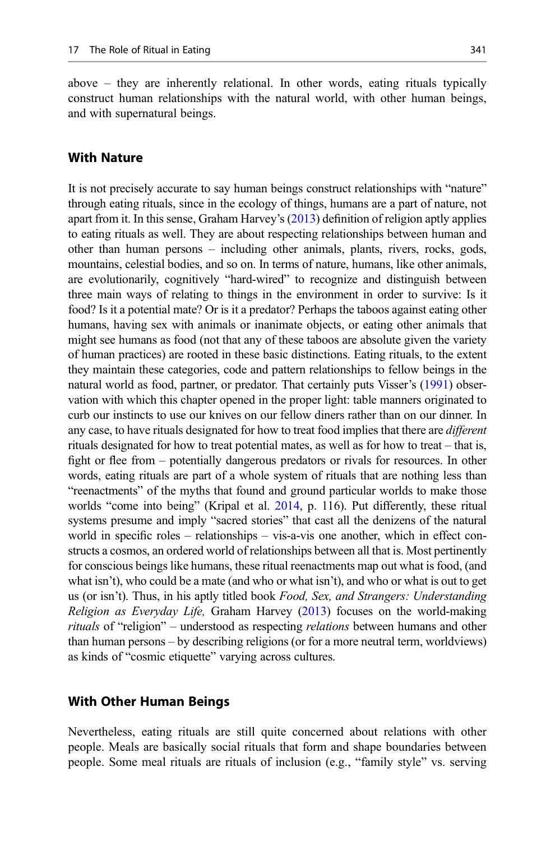above – they are inherently relational. In other words, eating rituals typically construct human relationships with the natural world, with other human beings, and with supernatural beings.

#### With Nature

It is not precisely accurate to say human beings construct relationships with "nature" through eating rituals, since in the ecology of things, humans are a part of nature, not apart from it. In this sense, Graham Harvey's ([2013](#page-15-4)) definition of religion aptly applies to eating rituals as well. They are about respecting relationships between human and other than human persons – including other animals, plants, rivers, rocks, gods, mountains, celestial bodies, and so on. In terms of nature, humans, like other animals, are evolutionarily, cognitively "hard-wired" to recognize and distinguish between three main ways of relating to things in the environment in order to survive: Is it food? Is it a potential mate? Or is it a predator? Perhaps the taboos against eating other humans, having sex with animals or inanimate objects, or eating other animals that might see humans as food (not that any of these taboos are absolute given the variety of human practices) are rooted in these basic distinctions. Eating rituals, to the extent they maintain these categories, code and pattern relationships to fellow beings in the natural world as food, partner, or predator. That certainly puts Visser's ([1991](#page-15-1)) observation with which this chapter opened in the proper light: table manners originated to curb our instincts to use our knives on our fellow diners rather than on our dinner. In any case, to have rituals designated for how to treat food implies that there are *different* rituals designated for how to treat potential mates, as well as for how to treat – that is, fight or flee from – potentially dangerous predators or rivals for resources. In other words, eating rituals are part of a whole system of rituals that are nothing less than "reenactments" of the myths that found and ground particular worlds to make those worlds "come into being" (Kripal et al. [2014](#page-15-0), p. 116). Put differently, these ritual systems presume and imply "sacred stories" that cast all the denizens of the natural world in specific roles – relationships – vis-a-vis one another, which in effect constructs a cosmos, an ordered world of relationships between all that is. Most pertinently for conscious beings like humans, these ritual reenactments map out what is food, (and what isn't), who could be a mate (and who or what isn't), and who or what is out to get us (or isn't). Thus, in his aptly titled book *Food, Sex, and Strangers: Understanding* Religion as Everyday Life, Graham Harvey [\(2013\)](#page-15-4) focuses on the world-making rituals of "religion" – understood as respecting relations between humans and other than human persons – by describing religions (or for a more neutral term, worldviews) as kinds of "cosmic etiquette" varying across cultures.

#### With Other Human Beings

Nevertheless, eating rituals are still quite concerned about relations with other people. Meals are basically social rituals that form and shape boundaries between people. Some meal rituals are rituals of inclusion (e.g., "family style" vs. serving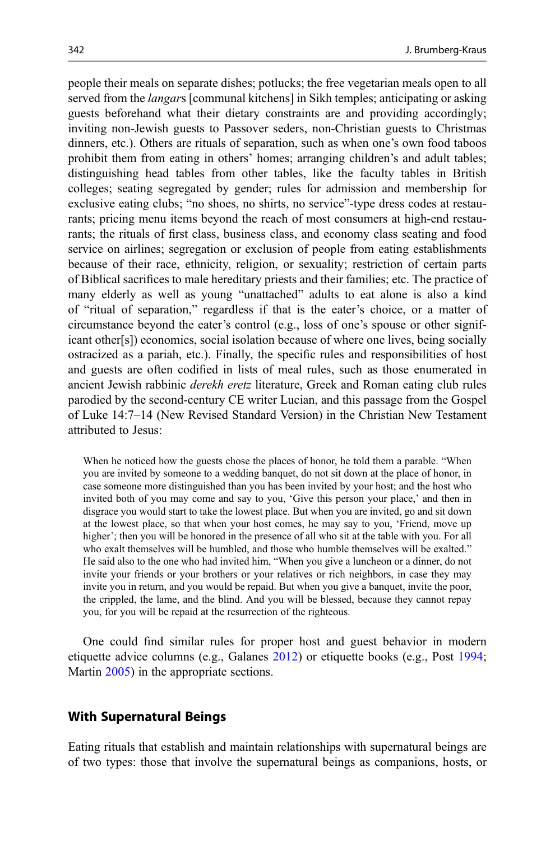people their meals on separate dishes; potlucks; the free vegetarian meals open to all served from the *langars* [communal kitchens] in Sikh temples; anticipating or asking guests beforehand what their dietary constraints are and providing accordingly; inviting non-Jewish guests to Passover seders, non-Christian guests to Christmas dinners, etc.). Others are rituals of separation, such as when one's own food taboos prohibit them from eating in others' homes; arranging children's and adult tables; distinguishing head tables from other tables, like the faculty tables in British colleges; seating segregated by gender; rules for admission and membership for exclusive eating clubs; "no shoes, no shirts, no service"-type dress codes at restaurants; pricing menu items beyond the reach of most consumers at high-end restaurants; the rituals of first class, business class, and economy class seating and food service on airlines; segregation or exclusion of people from eating establishments because of their race, ethnicity, religion, or sexuality; restriction of certain parts of Biblical sacrifices to male hereditary priests and their families; etc. The practice of many elderly as well as young "unattached" adults to eat alone is also a kind of "ritual of separation," regardless if that is the eater's choice, or a matter of circumstance beyond the eater's control (e.g., loss of one's spouse or other significant other[s]) economics, social isolation because of where one lives, being socially ostracized as a pariah, etc.). Finally, the specific rules and responsibilities of host and guests are often codified in lists of meal rules, such as those enumerated in ancient Jewish rabbinic *derekh eretz* literature, Greek and Roman eating club rules parodied by the second-century CE writer Lucian, and this passage from the Gospel of Luke 14:7–14 (New Revised Standard Version) in the Christian New Testament attributed to Jesus:

When he noticed how the guests chose the places of honor, he told them a parable. "When you are invited by someone to a wedding banquet, do not sit down at the place of honor, in case someone more distinguished than you has been invited by your host; and the host who invited both of you may come and say to you, 'Give this person your place,' and then in disgrace you would start to take the lowest place. But when you are invited, go and sit down at the lowest place, so that when your host comes, he may say to you, 'Friend, move up higher'; then you will be honored in the presence of all who sit at the table with you. For all who exalt themselves will be humbled, and those who humble themselves will be exalted." He said also to the one who had invited him, "When you give a luncheon or a dinner, do not invite your friends or your brothers or your relatives or rich neighbors, in case they may invite you in return, and you would be repaid. But when you give a banquet, invite the poor, the crippled, the lame, and the blind. And you will be blessed, because they cannot repay you, for you will be repaid at the resurrection of the righteous.

One could find similar rules for proper host and guest behavior in modern etiquette advice columns (e.g., Galanes [2012](#page-14-6)) or etiquette books (e.g., Post [1994;](#page-15-5) Martin [2005](#page-15-6)) in the appropriate sections.

#### With Supernatural Beings

Eating rituals that establish and maintain relationships with supernatural beings are of two types: those that involve the supernatural beings as companions, hosts, or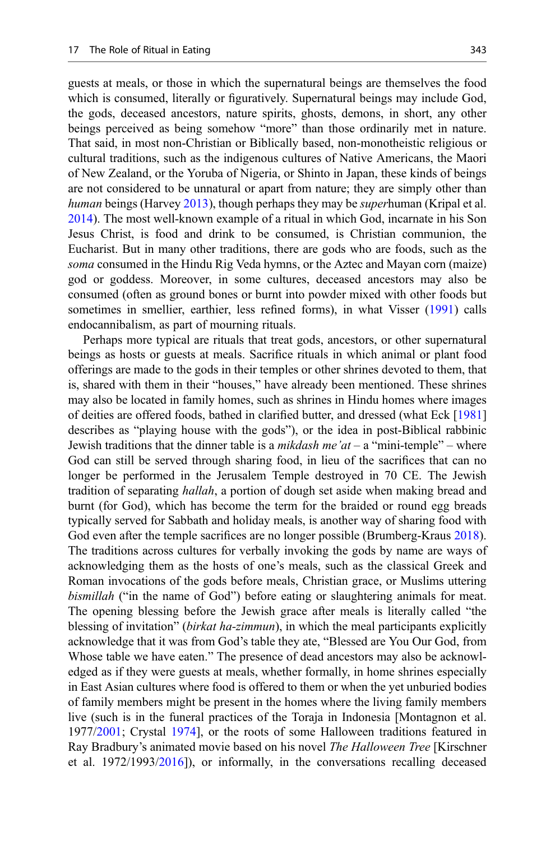guests at meals, or those in which the supernatural beings are themselves the food which is consumed, literally or figuratively. Supernatural beings may include God, the gods, deceased ancestors, nature spirits, ghosts, demons, in short, any other beings perceived as being somehow "more" than those ordinarily met in nature. That said, in most non-Christian or Biblically based, non-monotheistic religious or cultural traditions, such as the indigenous cultures of Native Americans, the Maori of New Zealand, or the Yoruba of Nigeria, or Shinto in Japan, these kinds of beings are not considered to be unnatural or apart from nature; they are simply other than human beings (Harvey [2013](#page-15-4)), though perhaps they may be *superhuman* (Kripal et al. [2014\)](#page-15-0). The most well-known example of a ritual in which God, incarnate in his Son Jesus Christ, is food and drink to be consumed, is Christian communion, the Eucharist. But in many other traditions, there are gods who are foods, such as the soma consumed in the Hindu Rig Veda hymns, or the Aztec and Mayan corn (maize) god or goddess. Moreover, in some cultures, deceased ancestors may also be consumed (often as ground bones or burnt into powder mixed with other foods but sometimes in smellier, earthier, less refined forms), in what Visser ([1991\)](#page-15-1) calls endocannibalism, as part of mourning rituals.

Perhaps more typical are rituals that treat gods, ancestors, or other supernatural beings as hosts or guests at meals. Sacrifice rituals in which animal or plant food offerings are made to the gods in their temples or other shrines devoted to them, that is, shared with them in their "houses," have already been mentioned. These shrines may also be located in family homes, such as shrines in Hindu homes where images of deities are offered foods, bathed in clarified butter, and dressed (what Eck [\[1981](#page-14-7)] describes as "playing house with the gods"), or the idea in post-Biblical rabbinic Jewish traditions that the dinner table is a *mikdash me'at* – a "mini-temple" – where God can still be served through sharing food, in lieu of the sacrifices that can no longer be performed in the Jerusalem Temple destroyed in 70 CE. The Jewish tradition of separating hallah, a portion of dough set aside when making bread and burnt (for God), which has become the term for the braided or round egg breads typically served for Sabbath and holiday meals, is another way of sharing food with God even after the temple sacrifices are no longer possible (Brumberg-Kraus [2018\)](#page-14-8). The traditions across cultures for verbally invoking the gods by name are ways of acknowledging them as the hosts of one's meals, such as the classical Greek and Roman invocations of the gods before meals, Christian grace, or Muslims uttering bismillah ("in the name of God") before eating or slaughtering animals for meat. The opening blessing before the Jewish grace after meals is literally called "the blessing of invitation" (*birkat ha-zimmun*), in which the meal participants explicitly acknowledge that it was from God's table they ate, "Blessed are You Our God, from Whose table we have eaten." The presence of dead ancestors may also be acknowledged as if they were guests at meals, whether formally, in home shrines especially in East Asian cultures where food is offered to them or when the yet unburied bodies of family members might be present in the homes where the living family members live (such is in the funeral practices of the Toraja in Indonesia [Montagnon et al. 1977/[2001](#page-15-7); Crystal [1974](#page-14-9)], or the roots of some Halloween traditions featured in Ray Bradbury's animated movie based on his novel The Halloween Tree [Kirschner et al. 1972/1993/[2016\]](#page-15-8)), or informally, in the conversations recalling deceased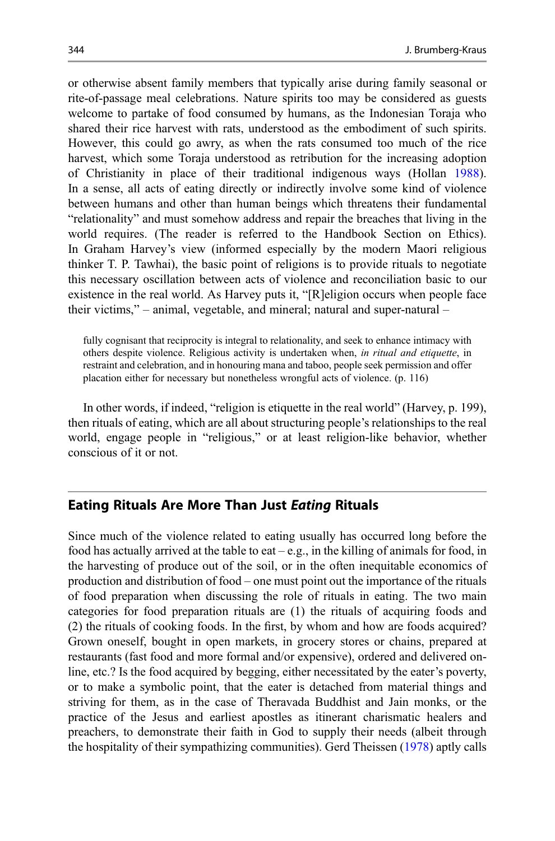or otherwise absent family members that typically arise during family seasonal or rite-of-passage meal celebrations. Nature spirits too may be considered as guests welcome to partake of food consumed by humans, as the Indonesian Toraja who shared their rice harvest with rats, understood as the embodiment of such spirits. However, this could go awry, as when the rats consumed too much of the rice harvest, which some Toraja understood as retribution for the increasing adoption of Christianity in place of their traditional indigenous ways (Hollan [1988\)](#page-15-9). In a sense, all acts of eating directly or indirectly involve some kind of violence between humans and other than human beings which threatens their fundamental "relationality" and must somehow address and repair the breaches that living in the world requires. (The reader is referred to the Handbook Section on Ethics). In Graham Harvey's view (informed especially by the modern Maori religious thinker T. P. Tawhai), the basic point of religions is to provide rituals to negotiate this necessary oscillation between acts of violence and reconciliation basic to our existence in the real world. As Harvey puts it, "[R]eligion occurs when people face their victims," – animal, vegetable, and mineral; natural and super-natural –

fully cognisant that reciprocity is integral to relationality, and seek to enhance intimacy with others despite violence. Religious activity is undertaken when, in ritual and etiquette, in restraint and celebration, and in honouring mana and taboo, people seek permission and offer placation either for necessary but nonetheless wrongful acts of violence. (p. 116)

In other words, if indeed, "religion is etiquette in the real world" (Harvey, p. 199), then rituals of eating, which are all about structuring people's relationships to the real world, engage people in "religious," or at least religion-like behavior, whether conscious of it or not.

#### Eating Rituals Are More Than Just Eating Rituals

Since much of the violence related to eating usually has occurred long before the food has actually arrived at the table to eat  $-e.g.,$  in the killing of animals for food, in the harvesting of produce out of the soil, or in the often inequitable economics of production and distribution of food – one must point out the importance of the rituals of food preparation when discussing the role of rituals in eating. The two main categories for food preparation rituals are (1) the rituals of acquiring foods and (2) the rituals of cooking foods. In the first, by whom and how are foods acquired? Grown oneself, bought in open markets, in grocery stores or chains, prepared at restaurants (fast food and more formal and/or expensive), ordered and delivered online, etc.? Is the food acquired by begging, either necessitated by the eater's poverty, or to make a symbolic point, that the eater is detached from material things and striving for them, as in the case of Theravada Buddhist and Jain monks, or the practice of the Jesus and earliest apostles as itinerant charismatic healers and preachers, to demonstrate their faith in God to supply their needs (albeit through the hospitality of their sympathizing communities). Gerd Theissen [\(1978](#page-15-10)) aptly calls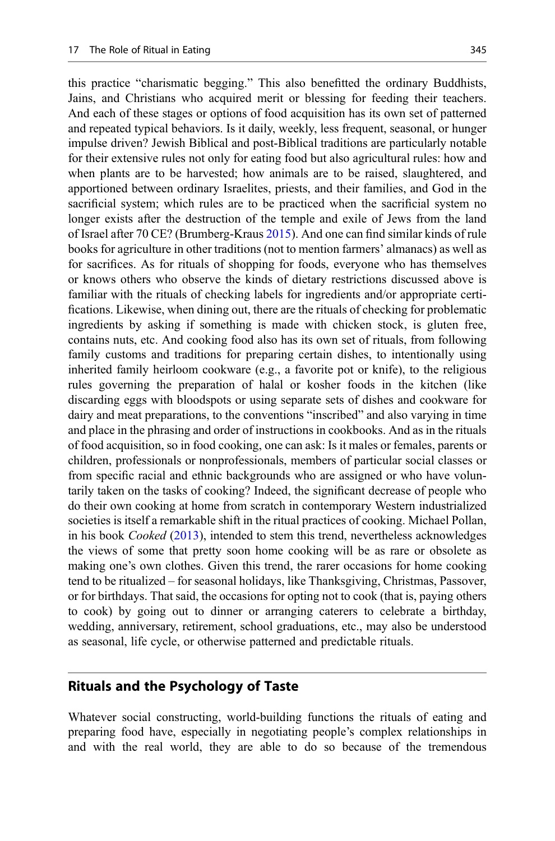this practice "charismatic begging." This also benefitted the ordinary Buddhists, Jains, and Christians who acquired merit or blessing for feeding their teachers. And each of these stages or options of food acquisition has its own set of patterned and repeated typical behaviors. Is it daily, weekly, less frequent, seasonal, or hunger impulse driven? Jewish Biblical and post-Biblical traditions are particularly notable for their extensive rules not only for eating food but also agricultural rules: how and when plants are to be harvested; how animals are to be raised, slaughtered, and apportioned between ordinary Israelites, priests, and their families, and God in the sacrificial system; which rules are to be practiced when the sacrificial system no longer exists after the destruction of the temple and exile of Jews from the land of Israel after 70 CE? (Brumberg-Kraus [2015\)](#page-14-10). And one can find similar kinds of rule books for agriculture in other traditions (not to mention farmers' almanacs) as well as for sacrifices. As for rituals of shopping for foods, everyone who has themselves or knows others who observe the kinds of dietary restrictions discussed above is familiar with the rituals of checking labels for ingredients and/or appropriate certifications. Likewise, when dining out, there are the rituals of checking for problematic ingredients by asking if something is made with chicken stock, is gluten free, contains nuts, etc. And cooking food also has its own set of rituals, from following family customs and traditions for preparing certain dishes, to intentionally using inherited family heirloom cookware (e.g., a favorite pot or knife), to the religious rules governing the preparation of halal or kosher foods in the kitchen (like discarding eggs with bloodspots or using separate sets of dishes and cookware for dairy and meat preparations, to the conventions "inscribed" and also varying in time and place in the phrasing and order of instructions in cookbooks. And as in the rituals of food acquisition, so in food cooking, one can ask: Is it males or females, parents or children, professionals or nonprofessionals, members of particular social classes or from specific racial and ethnic backgrounds who are assigned or who have voluntarily taken on the tasks of cooking? Indeed, the significant decrease of people who do their own cooking at home from scratch in contemporary Western industrialized societies is itself a remarkable shift in the ritual practices of cooking. Michael Pollan, in his book Cooked ([2013\)](#page-15-11), intended to stem this trend, nevertheless acknowledges the views of some that pretty soon home cooking will be as rare or obsolete as making one's own clothes. Given this trend, the rarer occasions for home cooking tend to be ritualized – for seasonal holidays, like Thanksgiving, Christmas, Passover, or for birthdays. That said, the occasions for opting not to cook (that is, paying others to cook) by going out to dinner or arranging caterers to celebrate a birthday, wedding, anniversary, retirement, school graduations, etc., may also be understood as seasonal, life cycle, or otherwise patterned and predictable rituals.

#### Rituals and the Psychology of Taste

Whatever social constructing, world-building functions the rituals of eating and preparing food have, especially in negotiating people's complex relationships in and with the real world, they are able to do so because of the tremendous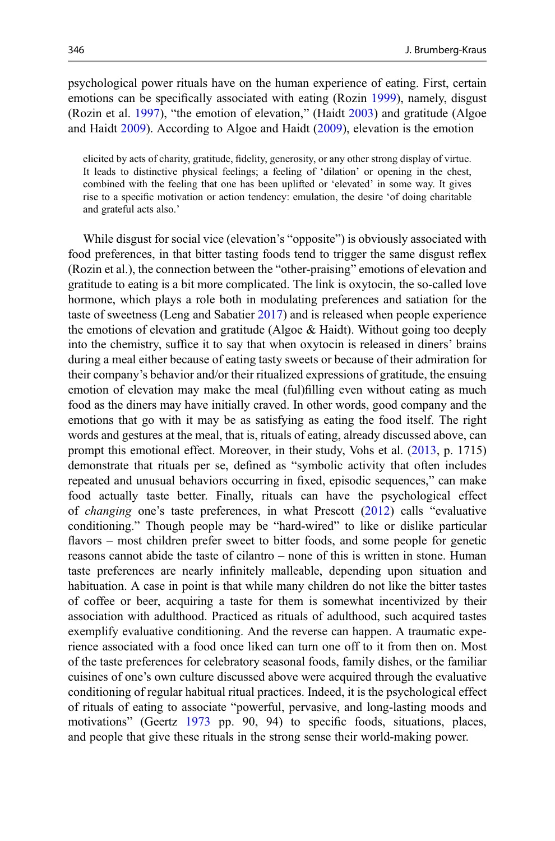psychological power rituals have on the human experience of eating. First, certain emotions can be specifically associated with eating (Rozin [1999](#page-15-12)), namely, disgust (Rozin et al. [1997\)](#page-15-13), "the emotion of elevation," (Haidt [2003](#page-15-14)) and gratitude (Algoe and Haidt [2009\)](#page-14-11). According to Algoe and Haidt [\(2009](#page-14-11)), elevation is the emotion

elicited by acts of charity, gratitude, fidelity, generosity, or any other strong display of virtue. It leads to distinctive physical feelings; a feeling of 'dilation' or opening in the chest, combined with the feeling that one has been uplifted or 'elevated' in some way. It gives rise to a specific motivation or action tendency: emulation, the desire 'of doing charitable and grateful acts also.'

While disgust for social vice (elevation's "opposite") is obviously associated with food preferences, in that bitter tasting foods tend to trigger the same disgust reflex (Rozin et al.), the connection between the "other-praising" emotions of elevation and gratitude to eating is a bit more complicated. The link is oxytocin, the so-called love hormone, which plays a role both in modulating preferences and satiation for the taste of sweetness (Leng and Sabatier [2017](#page-15-15)) and is released when people experience the emotions of elevation and gratitude (Algoe  $\&$  Haidt). Without going too deeply into the chemistry, suffice it to say that when oxytocin is released in diners' brains during a meal either because of eating tasty sweets or because of their admiration for their company's behavior and/or their ritualized expressions of gratitude, the ensuing emotion of elevation may make the meal (ful)filling even without eating as much food as the diners may have initially craved. In other words, good company and the emotions that go with it may be as satisfying as eating the food itself. The right words and gestures at the meal, that is, rituals of eating, already discussed above, can prompt this emotional effect. Moreover, in their study, Vohs et al. ([2013,](#page-15-16) p. 1715) demonstrate that rituals per se, defined as "symbolic activity that often includes repeated and unusual behaviors occurring in fixed, episodic sequences," can make food actually taste better. Finally, rituals can have the psychological effect of changing one's taste preferences, in what Prescott [\(2012](#page-15-17)) calls "evaluative conditioning." Though people may be "hard-wired" to like or dislike particular flavors – most children prefer sweet to bitter foods, and some people for genetic reasons cannot abide the taste of cilantro – none of this is written in stone. Human taste preferences are nearly infinitely malleable, depending upon situation and habituation. A case in point is that while many children do not like the bitter tastes of coffee or beer, acquiring a taste for them is somewhat incentivized by their association with adulthood. Practiced as rituals of adulthood, such acquired tastes exemplify evaluative conditioning. And the reverse can happen. A traumatic experience associated with a food once liked can turn one off to it from then on. Most of the taste preferences for celebratory seasonal foods, family dishes, or the familiar cuisines of one's own culture discussed above were acquired through the evaluative conditioning of regular habitual ritual practices. Indeed, it is the psychological effect of rituals of eating to associate "powerful, pervasive, and long-lasting moods and motivations" (Geertz [1973](#page-14-12) pp. 90, 94) to specific foods, situations, places, and people that give these rituals in the strong sense their world-making power.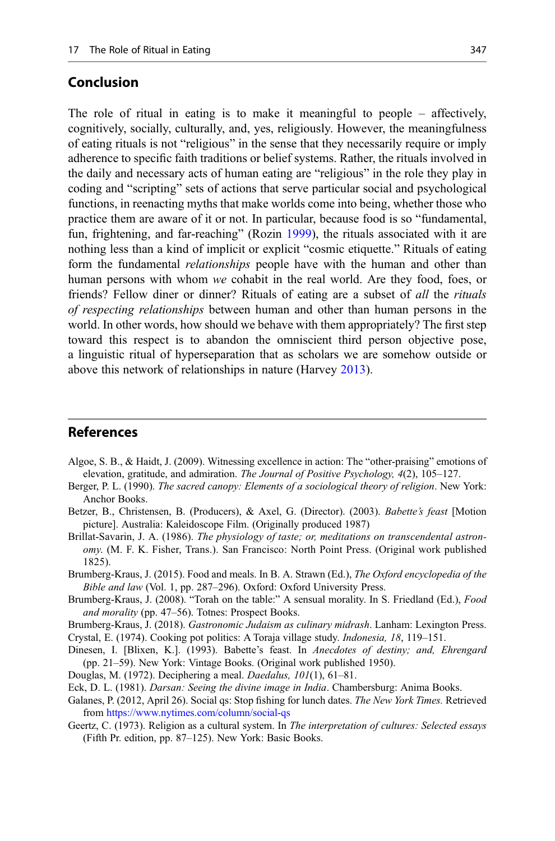#### Conclusion

The role of ritual in eating is to make it meaningful to people – affectively, cognitively, socially, culturally, and, yes, religiously. However, the meaningfulness of eating rituals is not "religious" in the sense that they necessarily require or imply adherence to specific faith traditions or belief systems. Rather, the rituals involved in the daily and necessary acts of human eating are "religious" in the role they play in coding and "scripting" sets of actions that serve particular social and psychological functions, in reenacting myths that make worlds come into being, whether those who practice them are aware of it or not. In particular, because food is so "fundamental, fun, frightening, and far-reaching" (Rozin [1999\)](#page-15-12), the rituals associated with it are nothing less than a kind of implicit or explicit "cosmic etiquette." Rituals of eating form the fundamental *relationships* people have with the human and other than human persons with whom we cohabit in the real world. Are they food, foes, or friends? Fellow diner or dinner? Rituals of eating are a subset of all the rituals

of respecting relationships between human and other than human persons in the world. In other words, how should we behave with them appropriately? The first step toward this respect is to abandon the omniscient third person objective pose, a linguistic ritual of hyperseparation that as scholars we are somehow outside or above this network of relationships in nature (Harvey [2013\)](#page-15-4).

### <span id="page-14-11"></span>References

- <span id="page-14-1"></span>Algoe, S. B., & Haidt, J. (2009). Witnessing excellence in action: The "other-praising" emotions of elevation, gratitude, and admiration. The Journal of Positive Psychology, 4(2), 105–127.
- <span id="page-14-3"></span>Berger, P. L. (1990). The sacred canopy: Elements of a sociological theory of religion. New York: Anchor Books.
- <span id="page-14-0"></span>Betzer, B., Christensen, B. (Producers), & Axel, G. (Director). (2003). Babette's feast [Motion picture]. Australia: Kaleidoscope Film. (Originally produced 1987)
- <span id="page-14-10"></span>Brillat-Savarin, J. A. (1986). The physiology of taste; or, meditations on transcendental astronomy. (M. F. K. Fisher, Trans.). San Francisco: North Point Press. (Original work published 1825).
- <span id="page-14-5"></span>Brumberg-Kraus, J. (2015). Food and meals. In B. A. Strawn (Ed.), The Oxford encyclopedia of the Bible and law (Vol. 1, pp. 287–296). Oxford: Oxford University Press.
- <span id="page-14-8"></span>Brumberg-Kraus, J. (2008). "Torah on the table:" A sensual morality. In S. Friedland (Ed.), Food and morality (pp. 47–56). Totnes: Prospect Books.
- <span id="page-14-9"></span><span id="page-14-4"></span>Brumberg-Kraus, J. (2018). Gastronomic Judaism as culinary midrash. Lanham: Lexington Press.
- Crystal, E. (1974). Cooking pot politics: A Toraja village study. Indonesia, 18, 119–151.
- <span id="page-14-2"></span>Dinesen, I. [Blixen, K.]. (1993). Babette's feast. In Anecdotes of destiny; and, Ehrengard (pp. 21–59). New York: Vintage Books. (Original work published 1950).
- <span id="page-14-7"></span>Douglas, M. (1972). Deciphering a meal. Daedalus, 101(1), 61-81.
- <span id="page-14-6"></span>Eck, D. L. (1981). Darsan: Seeing the divine image in India. Chambersburg: Anima Books.
- <span id="page-14-12"></span>Galanes, P. (2012, April 26). Social qs: Stop fishing for lunch dates. The New York Times. Retrieved from <https://www.nytimes.com/column/social-qs>
- Geertz, C. (1973). Religion as a cultural system. In The interpretation of cultures: Selected essays (Fifth Pr. edition, pp. 87–125). New York: Basic Books.